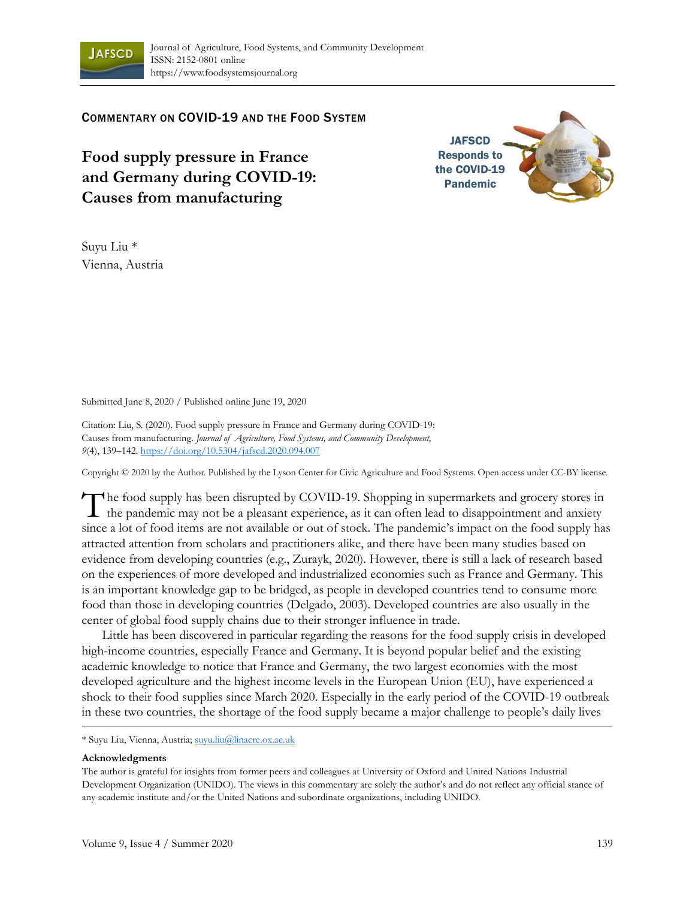

COMMENTARY ON COVID-19 AND THE FOOD SYSTEM

**Food supply pressure in France and Germany during COVID-19: Causes from manufacturing**



Suyu Liu \* Vienna, Austria

Submitted June 8, 2020 / Published online June 19, 2020

Citation: Liu, S. (2020). Food supply pressure in France and Germany during COVID-19: Causes from manufacturing. *Journal of Agriculture, Food Systems, and Community Development, 9*(4), 139–142. https://doi.org/10.5304/jafscd.2020.094.007

Copyright © 2020 by the Author. Published by the Lyson Center for Civic Agriculture and Food Systems. Open access under CC-BY license.

The food supply has been disrupted by COVID-19. Shopping in supermarkets and grocery stores in The food supply has been disrupted by COVID-19. Shopping in supermarkets and grocery stores in the pandemic may not be a pleasant experience, as it can often lead to disappointment and anxiety since a lot of food items are not available or out of stock. The pandemic's impact on the food supply has attracted attention from scholars and practitioners alike, and there have been many studies based on evidence from developing countries (e.g., Zurayk, 2020). However, there is still a lack of research based on the experiences of more developed and industrialized economies such as France and Germany. This is an important knowledge gap to be bridged, as people in developed countries tend to consume more food than those in developing countries (Delgado, 2003). Developed countries are also usually in the center of global food supply chains due to their stronger influence in trade.

 Little has been discovered in particular regarding the reasons for the food supply crisis in developed high-income countries, especially France and Germany. It is beyond popular belief and the existing academic knowledge to notice that France and Germany, the two largest economies with the most developed agriculture and the highest income levels in the European Union (EU), have experienced a shock to their food supplies since March 2020. Especially in the early period of the COVID-19 outbreak in these two countries, the shortage of the food supply became a major challenge to people's daily lives

\* Suyu Liu, Vienna, Austria; suyu.liu@linacre.ox.ac.uk

## **Acknowledgments**

The author is grateful for insights from former peers and colleagues at University of Oxford and United Nations Industrial Development Organization (UNIDO). The views in this commentary are solely the author's and do not reflect any official stance of any academic institute and/or the United Nations and subordinate organizations, including UNIDO.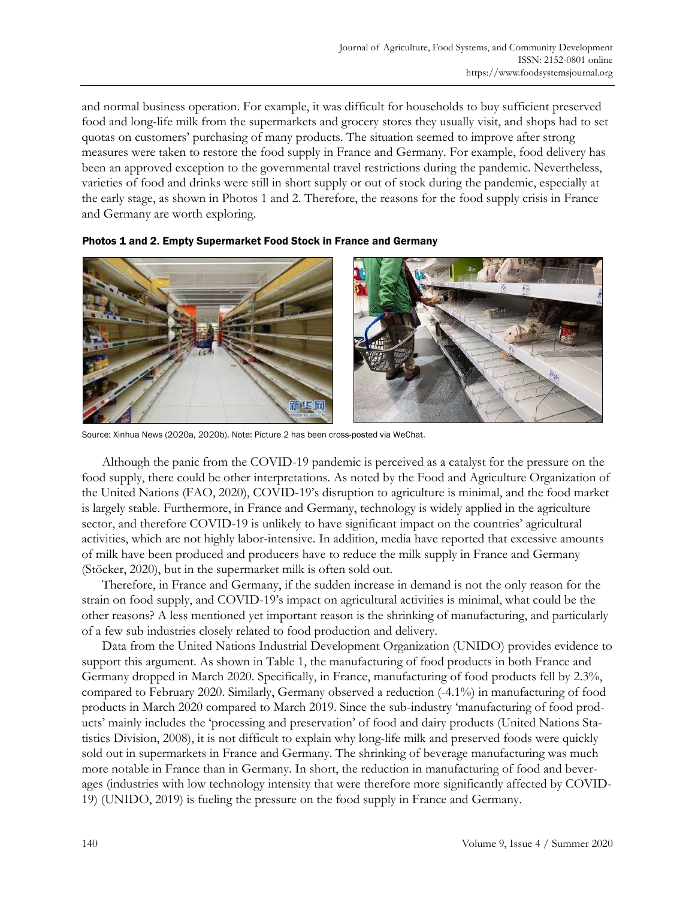and normal business operation. For example, it was difficult for households to buy sufficient preserved food and long-life milk from the supermarkets and grocery stores they usually visit, and shops had to set quotas on customers' purchasing of many products. The situation seemed to improve after strong measures were taken to restore the food supply in France and Germany. For example, food delivery has been an approved exception to the governmental travel restrictions during the pandemic. Nevertheless, varieties of food and drinks were still in short supply or out of stock during the pandemic, especially at the early stage, as shown in Photos 1 and 2. Therefore, the reasons for the food supply crisis in France and Germany are worth exploring.



Photos 1 and 2. Empty Supermarket Food Stock in France and Germany

Source: Xinhua News (2020a, 2020b). Note: Picture 2 has been cross-posted via WeChat.

 Although the panic from the COVID-19 pandemic is perceived as a catalyst for the pressure on the food supply, there could be other interpretations. As noted by the Food and Agriculture Organization of the United Nations (FAO, 2020), COVID-19's disruption to agriculture is minimal, and the food market is largely stable. Furthermore, in France and Germany, technology is widely applied in the agriculture sector, and therefore COVID-19 is unlikely to have significant impact on the countries' agricultural activities, which are not highly labor-intensive. In addition, media have reported that excessive amounts of milk have been produced and producers have to reduce the milk supply in France and Germany (Stöcker, 2020), but in the supermarket milk is often sold out.

 Therefore, in France and Germany, if the sudden increase in demand is not the only reason for the strain on food supply, and COVID-19's impact on agricultural activities is minimal, what could be the other reasons? A less mentioned yet important reason is the shrinking of manufacturing, and particularly of a few sub industries closely related to food production and delivery.

 Data from the United Nations Industrial Development Organization (UNIDO) provides evidence to support this argument. As shown in Table 1, the manufacturing of food products in both France and Germany dropped in March 2020. Specifically, in France, manufacturing of food products fell by 2.3%, compared to February 2020. Similarly, Germany observed a reduction (-4.1%) in manufacturing of food products in March 2020 compared to March 2019. Since the sub-industry 'manufacturing of food products' mainly includes the 'processing and preservation' of food and dairy products (United Nations Statistics Division, 2008), it is not difficult to explain why long-life milk and preserved foods were quickly sold out in supermarkets in France and Germany. The shrinking of beverage manufacturing was much more notable in France than in Germany. In short, the reduction in manufacturing of food and beverages (industries with low technology intensity that were therefore more significantly affected by COVID-19) (UNIDO, 2019) is fueling the pressure on the food supply in France and Germany.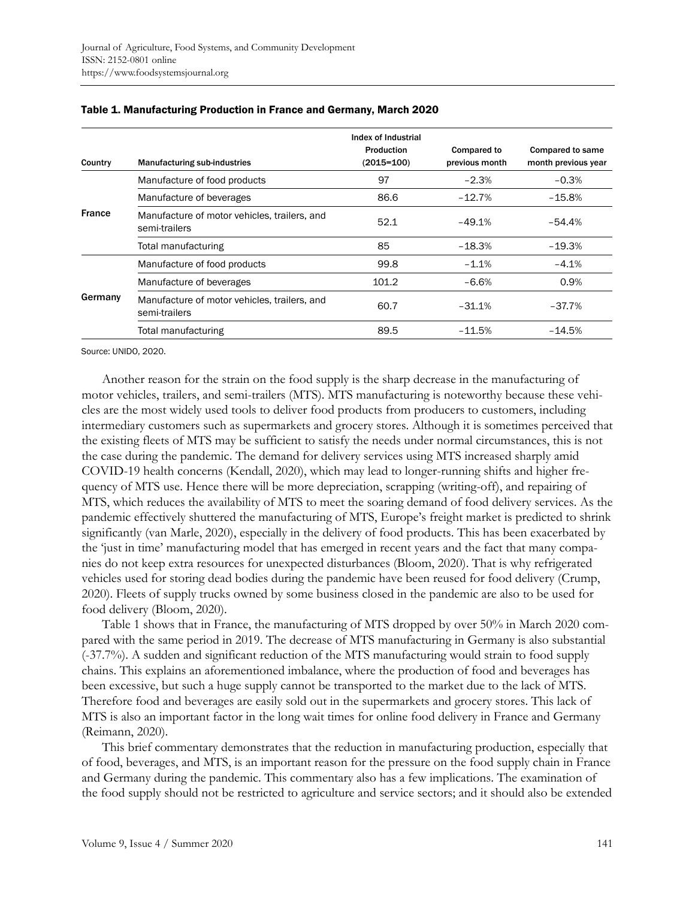| Country       | <b>Manufacturing sub-industries</b>                           | Index of Industrial<br>Production<br>$(2015 = 100)$ | <b>Compared to</b><br>previous month | <b>Compared to same</b><br>month previous year |
|---------------|---------------------------------------------------------------|-----------------------------------------------------|--------------------------------------|------------------------------------------------|
| <b>France</b> | Manufacture of food products                                  | 97                                                  | $-2.3%$                              | $-0.3%$                                        |
|               | Manufacture of beverages                                      | 86.6                                                | $-12.7%$                             | $-15.8%$                                       |
|               | Manufacture of motor vehicles, trailers, and<br>semi-trailers | 52.1                                                | $-49.1%$                             | $-54.4%$                                       |
|               | Total manufacturing                                           | 85                                                  | $-18.3%$                             | $-19.3%$                                       |
| Germany       | Manufacture of food products                                  | 99.8                                                | $-1.1%$                              | $-4.1%$                                        |
|               | Manufacture of beverages                                      | 101.2                                               | $-6.6%$                              | 0.9%                                           |
|               | Manufacture of motor vehicles, trailers, and<br>semi-trailers | 60.7                                                | $-31.1%$                             | $-37.7%$                                       |
|               | Total manufacturing                                           | 89.5                                                | $-11.5%$                             | $-14.5%$                                       |

## Table 1. Manufacturing Production in France and Germany, March 2020

Source: UNIDO, 2020.

 Another reason for the strain on the food supply is the sharp decrease in the manufacturing of motor vehicles, trailers, and semi-trailers (MTS). MTS manufacturing is noteworthy because these vehicles are the most widely used tools to deliver food products from producers to customers, including intermediary customers such as supermarkets and grocery stores. Although it is sometimes perceived that the existing fleets of MTS may be sufficient to satisfy the needs under normal circumstances, this is not the case during the pandemic. The demand for delivery services using MTS increased sharply amid COVID-19 health concerns (Kendall, 2020), which may lead to longer-running shifts and higher frequency of MTS use. Hence there will be more depreciation, scrapping (writing-off), and repairing of MTS, which reduces the availability of MTS to meet the soaring demand of food delivery services. As the pandemic effectively shuttered the manufacturing of MTS, Europe's freight market is predicted to shrink significantly (van Marle, 2020), especially in the delivery of food products. This has been exacerbated by the 'just in time' manufacturing model that has emerged in recent years and the fact that many companies do not keep extra resources for unexpected disturbances (Bloom, 2020). That is why refrigerated vehicles used for storing dead bodies during the pandemic have been reused for food delivery (Crump, 2020). Fleets of supply trucks owned by some business closed in the pandemic are also to be used for food delivery (Bloom, 2020).

 Table 1 shows that in France, the manufacturing of MTS dropped by over 50% in March 2020 compared with the same period in 2019. The decrease of MTS manufacturing in Germany is also substantial (-37.7%). A sudden and significant reduction of the MTS manufacturing would strain to food supply chains. This explains an aforementioned imbalance, where the production of food and beverages has been excessive, but such a huge supply cannot be transported to the market due to the lack of MTS. Therefore food and beverages are easily sold out in the supermarkets and grocery stores. This lack of MTS is also an important factor in the long wait times for online food delivery in France and Germany (Reimann, 2020).

 This brief commentary demonstrates that the reduction in manufacturing production, especially that of food, beverages, and MTS, is an important reason for the pressure on the food supply chain in France and Germany during the pandemic. This commentary also has a few implications. The examination of the food supply should not be restricted to agriculture and service sectors; and it should also be extended